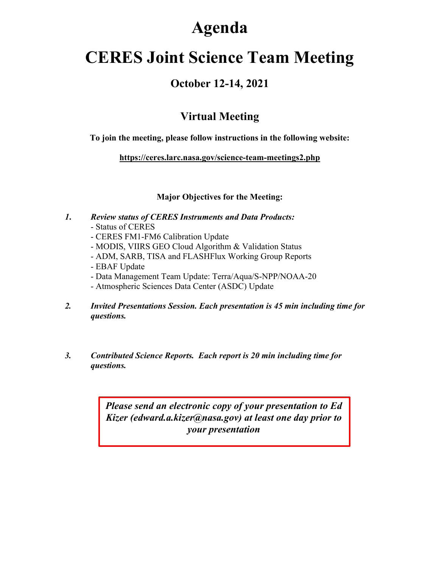# **Agenda**

# **CERES Joint Science Team Meeting**

### **October 12-14, 2021**

## **Virtual Meeting**

**To join the meeting, please follow instructions in the following website:**

**https://ceres.larc.nasa.gov/science-team-meetings2.php**

#### **Major Objectives for the Meeting:**

- *1***.** *Review status of CERES Instruments and Data Products:*
	- Status of CERES
	- CERES FM1-FM6 Calibration Update
	- MODIS, VIIRS GEO Cloud Algorithm & Validation Status
	- ADM, SARB, TISA and FLASHFlux Working Group Reports
	- EBAF Update
	- Data Management Team Update: Terra/Aqua/S-NPP/NOAA-20
	- Atmospheric Sciences Data Center (ASDC) Update
- *2. Invited Presentations Session. Each presentation is 45 min including time for questions.*
- *3. Contributed Science Reports. Each report is 20 min including time for questions.*

*Please send an electronic copy of your presentation to Ed Kizer (edward.a.kizer@nasa.gov) at least one day prior to your presentation*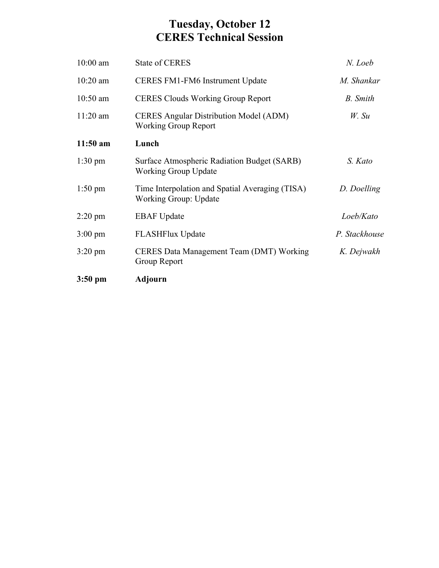### **Tuesday, October 12 CERES Technical Session**

| $10:00$ am        | <b>State of CERES</b>                                                        | N. Loeb       |
|-------------------|------------------------------------------------------------------------------|---------------|
| $10:20$ am        | CERES FM1-FM6 Instrument Update                                              | M. Shankar    |
| $10:50$ am        | <b>CERES Clouds Working Group Report</b>                                     | B. Smith      |
| $11:20$ am        | <b>CERES Angular Distribution Model (ADM)</b><br><b>Working Group Report</b> | $W.$ Su       |
| $11:50$ am        | Lunch                                                                        |               |
| $1:30 \text{ pm}$ | Surface Atmospheric Radiation Budget (SARB)<br><b>Working Group Update</b>   | S. Kato       |
| $1:50 \text{ pm}$ | Time Interpolation and Spatial Averaging (TISA)<br>Working Group: Update     | D. Doelling   |
| $2:20 \text{ pm}$ | <b>EBAF</b> Update                                                           | Loeb/Kato     |
| $3:00 \text{ pm}$ | <b>FLASHFlux Update</b>                                                      | P. Stackhouse |
| $3:20 \text{ pm}$ | CERES Data Management Team (DMT) Working<br>Group Report                     | K. Dejwakh    |
| $3:50 \text{ pm}$ | Adjourn                                                                      |               |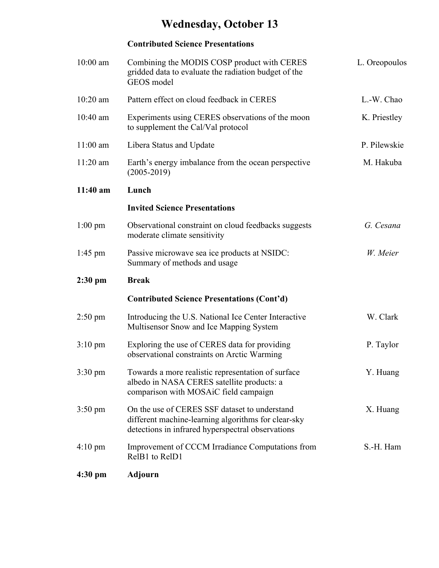## **Wednesday, October 13**

#### **Contributed Science Presentations**

| $10:00$ am        | Combining the MODIS COSP product with CERES<br>gridded data to evaluate the radiation budget of the<br>GEOS model                                         | L. Oreopoulos |
|-------------------|-----------------------------------------------------------------------------------------------------------------------------------------------------------|---------------|
| $10:20$ am        | Pattern effect on cloud feedback in CERES                                                                                                                 | L.-W. Chao    |
| $10:40$ am        | Experiments using CERES observations of the moon<br>to supplement the Cal/Val protocol                                                                    | K. Priestley  |
| $11:00$ am        | Libera Status and Update                                                                                                                                  | P. Pilewskie  |
| $11:20$ am        | Earth's energy imbalance from the ocean perspective<br>$(2005 - 2019)$                                                                                    | M. Hakuba     |
| 11:40 am          | Lunch                                                                                                                                                     |               |
|                   | <b>Invited Science Presentations</b>                                                                                                                      |               |
| $1:00 \text{ pm}$ | Observational constraint on cloud feedbacks suggests<br>moderate climate sensitivity                                                                      | G. Cesana     |
| $1:45$ pm         | Passive microwave sea ice products at NSIDC:<br>Summary of methods and usage                                                                              | W. Meier      |
| $2:30$ pm         | <b>Break</b>                                                                                                                                              |               |
|                   | <b>Contributed Science Presentations (Cont'd)</b>                                                                                                         |               |
| $2:50 \text{ pm}$ | Introducing the U.S. National Ice Center Interactive<br>Multisensor Snow and Ice Mapping System                                                           | W. Clark      |
| $3:10 \text{ pm}$ | Exploring the use of CERES data for providing<br>observational constraints on Arctic Warming                                                              | P. Taylor     |
| $3:30 \text{ pm}$ | Towards a more realistic representation of surface<br>albedo in NASA CERES satellite products: a<br>comparison with MOSAiC field campaign                 | Y. Huang      |
| $3:50 \text{ pm}$ | On the use of CERES SSF dataset to understand<br>different machine-learning algorithms for clear-sky<br>detections in infrared hyperspectral observations | X. Huang      |
| $4:10 \text{ pm}$ | Improvement of CCCM Irradiance Computations from<br>RelB1 to RelD1                                                                                        | S.-H. Ham     |
| $4:30 \text{ pm}$ | <b>Adjourn</b>                                                                                                                                            |               |